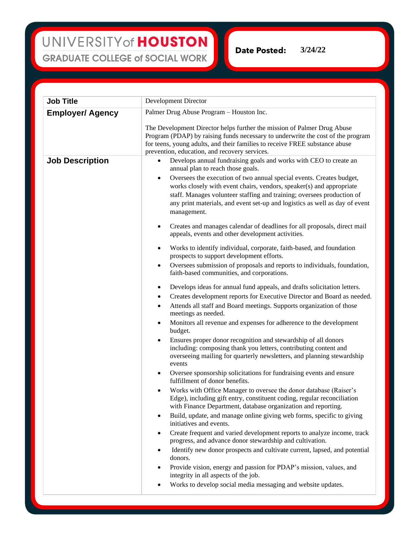UNIVERSITY of HOUSTON **GRADUATE COLLEGE of SOCIAL WORK** 

**3/24/22**Date Posted:

**Job Title** Development Director **Employer/ Agency** Palmer Drug Abuse Program – Houston Inc. The Development Director helps further the mission of Palmer Drug Abuse Program (PDAP) by raising funds necessary to underwrite the cost of the program for teens, young adults, and their families to receive FREE substance abuse prevention, education, and recovery services. **Job Description** • Develops annual fundraising goals and works with CEO to create an annual plan to reach those goals. • Oversees the execution of two annual special events. Creates budget, works closely with event chairs, vendors, speaker(s) and appropriate staff. Manages volunteer staffing and training; oversees production of any print materials, and event set-up and logistics as well as day of event management. • Creates and manages calendar of deadlines for all proposals, direct mail appeals, events and other development activities. • Works to identify individual, corporate, faith-based, and foundation prospects to support development efforts. • Oversees submission of proposals and reports to individuals, foundation, faith-based communities, and corporations. • Develops ideas for annual fund appeals, and drafts solicitation letters. • Creates development reports for Executive Director and Board as needed. • Attends all staff and Board meetings. Supports organization of those meetings as needed. • Monitors all revenue and expenses for adherence to the development budget. • Ensures proper donor recognition and stewardship of all donors including: composing thank you letters, contributing content and overseeing mailing for quarterly newsletters, and planning stewardship events • Oversee sponsorship solicitations for fundraising events and ensure fulfillment of donor benefits. • Works with Office Manager to oversee the donor database (Raiser's Edge), including gift entry, constituent coding, regular reconciliation with Finance Department, database organization and reporting. • Build, update, and manage online giving web forms, specific to giving initiatives and events. • Create frequent and varied development reports to analyze income, track progress, and advance donor stewardship and cultivation. Identify new donor prospects and cultivate current, lapsed, and potential donors. • Provide vision, energy and passion for PDAP's mission, values, and integrity in all aspects of the job. • Works to develop social media messaging and website updates.